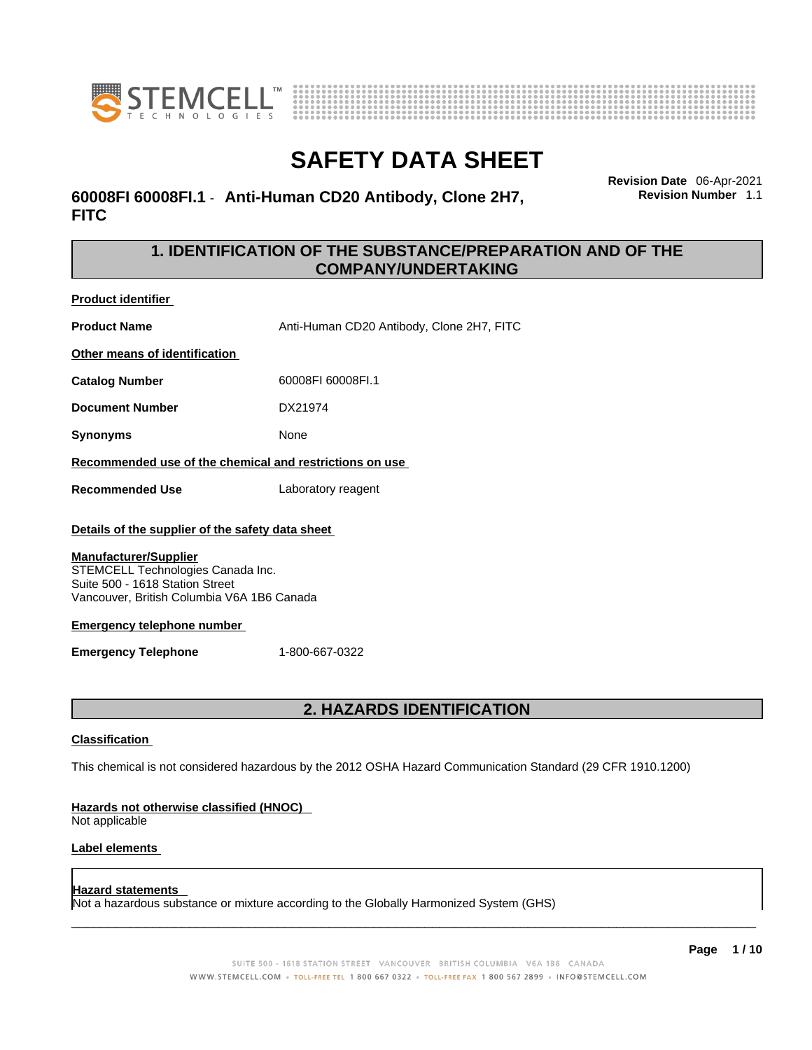



### **60008FI 60008FI.1** - **Anti-Human CD20 Antibody, Clone 2H7, FITC**

**Revision Date** 06-Apr-2021 **Revision Number** 1.1

### **1. IDENTIFICATION OF THE SUBSTANCE/PREPARATION AND OF THE COMPANY/UNDERTAKING**

**Product identifier**

**Product Name** Anti-Human CD20 Antibody, Clone 2H7, FITC

**Other means of identification**

**Catalog Number** 60008FI 60008FI.1

**Document Number** DX21974

**Synonyms** None

**Recommended use of the chemical and restrictions on use**

**Recommended Use** Laboratory reagent

#### **Details of the supplier of the safety data sheet**

#### **Manufacturer/Supplier**

STEMCELL Technologies Canada Inc. Suite 500 - 1618 Station Street Vancouver, British Columbia V6A 1B6 Canada

#### **Emergency telephone number**

**Emergency Telephone** 1-800-667-0322

### **2. HAZARDS IDENTIFICATION**

#### **Classification**

This chemical is not considered hazardous by the 2012 OSHA Hazard Communication Standard (29 CFR 1910.1200)

#### **Hazards not otherwise classified (HNOC)**

Not applicable

#### **Label elements**

#### **Hazard statements**

Not a hazardous substance or mixture according to the Globally Harmonized System (GHS)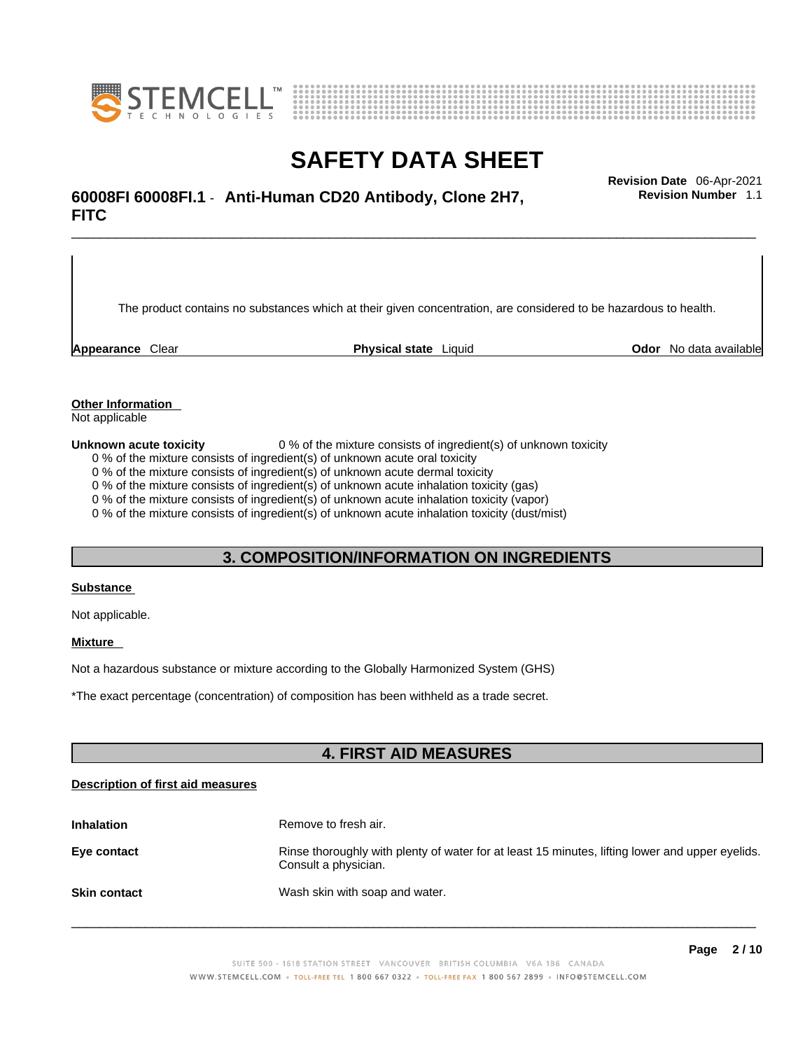



## \_\_\_\_\_\_\_\_\_\_\_\_\_\_\_\_\_\_\_\_\_\_\_\_\_\_\_\_\_\_\_\_\_\_\_\_\_\_\_\_\_\_\_\_\_\_\_\_\_\_\_\_\_\_\_\_\_\_\_\_\_\_\_\_\_\_\_\_\_\_\_\_\_\_\_\_\_\_\_\_\_\_\_\_\_\_\_\_\_\_\_\_\_ **Revision Date** 06-Apr-2021 **60008FI 60008FI.1** - **Anti-Human CD20 Antibody, Clone 2H7, FITC**

The product contains no substances which at their given concentration, are considered to be hazardous to health.

**Appearance** Clear **Physical state** Liquid **Odor** No data available

**Revision Number** 1.1

**Other Information** 

Not applicable

**Unknown acute toxicity** 0 % of the mixture consists of ingredient(s) of unknown toxicity

0 % of the mixture consists of ingredient(s) of unknown acute oral toxicity

0 % of the mixture consists of ingredient(s) of unknown acute dermal toxicity

0 % of the mixture consists of ingredient(s) of unknown acute inhalation toxicity (gas)

0 % of the mixture consists of ingredient(s) of unknown acute inhalation toxicity (vapor)

0 % of the mixture consists of ingredient(s) of unknown acute inhalation toxicity (dust/mist)

### **3. COMPOSITION/INFORMATION ON INGREDIENTS**

#### **Substance**

Not applicable.

#### **Mixture**

Not a hazardous substance or mixture according to the Globally Harmonized System (GHS)

\*The exact percentage (concentration) ofcomposition has been withheld as a trade secret.

#### **4. FIRST AID MEASURES**

#### **Description of first aid measures**

| <b>Inhalation</b>   | Remove to fresh air.                                                                                                    |
|---------------------|-------------------------------------------------------------------------------------------------------------------------|
| Eye contact         | Rinse thoroughly with plenty of water for at least 15 minutes, lifting lower and upper eyelids.<br>Consult a physician. |
| <b>Skin contact</b> | Wash skin with soap and water.                                                                                          |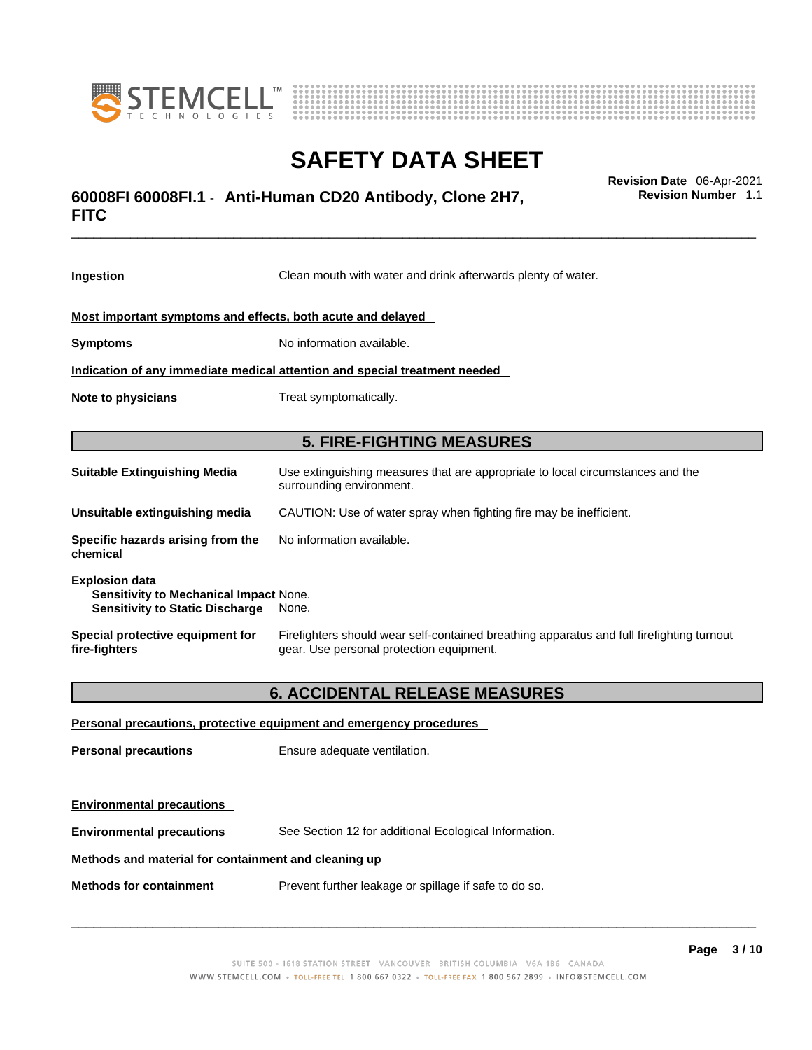



## \_\_\_\_\_\_\_\_\_\_\_\_\_\_\_\_\_\_\_\_\_\_\_\_\_\_\_\_\_\_\_\_\_\_\_\_\_\_\_\_\_\_\_\_\_\_\_\_\_\_\_\_\_\_\_\_\_\_\_\_\_\_\_\_\_\_\_\_\_\_\_\_\_\_\_\_\_\_\_\_\_\_\_\_\_\_\_\_\_\_\_\_\_ **Revision Date** 06-Apr-2021 **60008FI 60008FI.1** - **Anti-Human CD20 Antibody, Clone 2H7, FITC**

**Ingestion** Clean mouth with water and drink afterwards plenty of water. **Most important symptoms and effects, both acute and delayed Symptoms** No information available. **Indication of any immediate medical attention and special treatment needed Note to physicians** Treat symptomatically. **5. FIRE-FIGHTING MEASURES Suitable Extinguishing Media** Use extinguishing measures that are appropriate to local circumstances and the surrounding environment. **Unsuitable extinguishing media** CAUTION: Use of water spray when fighting fire may be inefficient. **Specific hazards arising from the chemical** No information available. **Explosion data Sensitivity to Mechanical Impact** None. **Sensitivity to Static Discharge** None. **Special protective equipment for fire-fighters** Firefighters should wear self-contained breathing apparatus and full firefighting turnout gear. Use personal protection equipment. **6. ACCIDENTAL RELEASE MEASURES Personal precautions, protective equipment and emergency procedures Personal precautions** Ensure adequate ventilation.

**Environmental precautions Environmental precautions** See Section 12 for additional Ecological Information. **Methods and material for containment and cleaning up**

**Methods for containment** Prevent further leakage or spillage if safe to do so.

 $\_$  ,  $\_$  ,  $\_$  ,  $\_$  ,  $\_$  ,  $\_$  ,  $\_$  ,  $\_$  ,  $\_$  ,  $\_$  ,  $\_$  ,  $\_$  ,  $\_$  ,  $\_$  ,  $\_$  ,  $\_$  ,  $\_$  ,  $\_$  ,  $\_$  ,  $\_$  ,  $\_$  ,  $\_$  ,  $\_$  ,  $\_$  ,  $\_$  ,  $\_$  ,  $\_$  ,  $\_$  ,  $\_$  ,  $\_$  ,  $\_$  ,  $\_$  ,  $\_$  ,  $\_$  ,  $\_$  ,  $\_$  ,  $\_$  ,

**Revision Number** 1.1

**Page 3 / 10**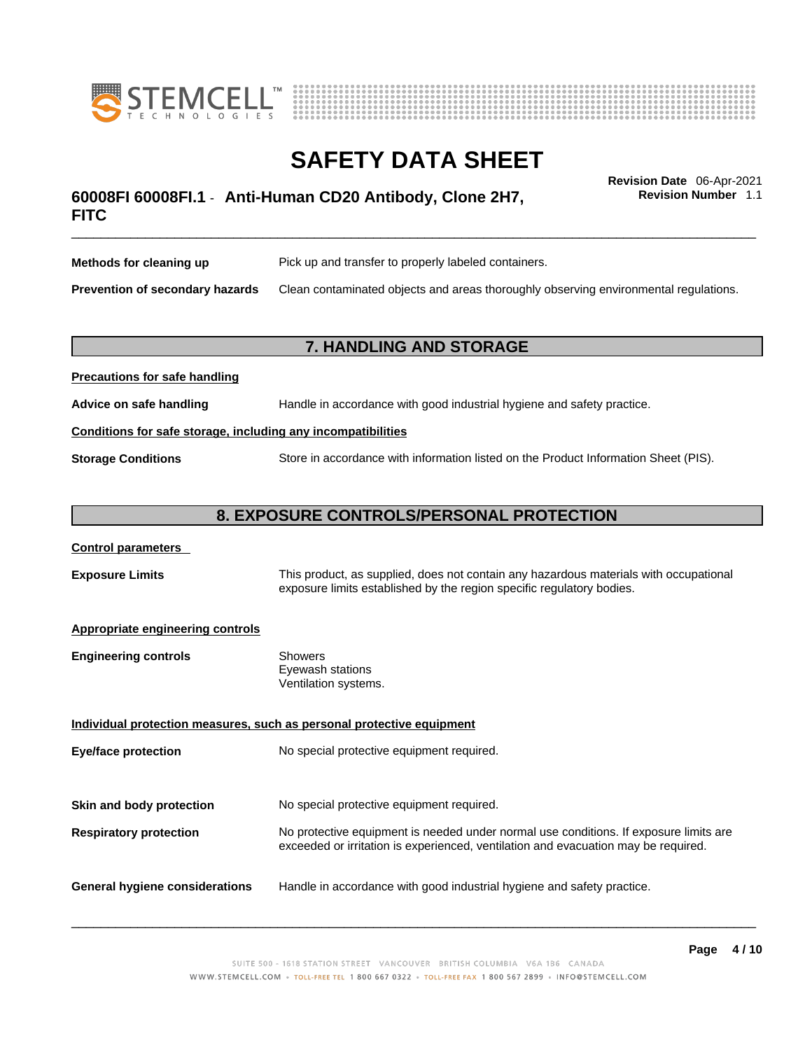



## \_\_\_\_\_\_\_\_\_\_\_\_\_\_\_\_\_\_\_\_\_\_\_\_\_\_\_\_\_\_\_\_\_\_\_\_\_\_\_\_\_\_\_\_\_\_\_\_\_\_\_\_\_\_\_\_\_\_\_\_\_\_\_\_\_\_\_\_\_\_\_\_\_\_\_\_\_\_\_\_\_\_\_\_\_\_\_\_\_\_\_\_\_ **Revision Date** 06-Apr-2021 **60008FI 60008FI.1** - **Anti-Human CD20 Antibody, Clone 2H7, FITC**

**Revision Number** 1.1

| Methods for cleaning up         | Pick up and transfer to properly labeled containers.                                 |
|---------------------------------|--------------------------------------------------------------------------------------|
| Prevention of secondary hazards | Clean contaminated objects and areas thoroughly observing environmental regulations. |

### **7. HANDLING AND STORAGE**

| <b>FIGURIOUS IOI SAIG HAHUIHIY</b>                           |                                                                                     |  |
|--------------------------------------------------------------|-------------------------------------------------------------------------------------|--|
| Advice on safe handling                                      | Handle in accordance with good industrial hygiene and safety practice.              |  |
| Conditions for safe storage, including any incompatibilities |                                                                                     |  |
| <b>Storage Conditions</b>                                    | Store in accordance with information listed on the Product Information Sheet (PIS). |  |

#### **8. EXPOSURE CONTROLS/PERSONAL PROTECTION**

#### **Control parameters**

**Exposure Limits** This product, as supplied, does not contain any hazardous materials with occupational exposure limits established by the region specific regulatory bodies.

#### **Appropriate engineering controls**

**Precautions for safe handling**

| <b>Engineering controls</b> | Showers              |
|-----------------------------|----------------------|
|                             | Eyewash stations     |
|                             | Ventilation systems. |

**Individual protection measures, such as personal protective equipment Eye/face protection** No special protective equipment required. **Skin and body protection** No special protective equipment required. **Respiratory protection** No protective equipment is needed under normal use conditions. If exposure limits are exceeded or irritation is experienced, ventilation and evacuation may be required. **General hygiene considerations** Handle in accordance with good industrial hygiene and safety practice.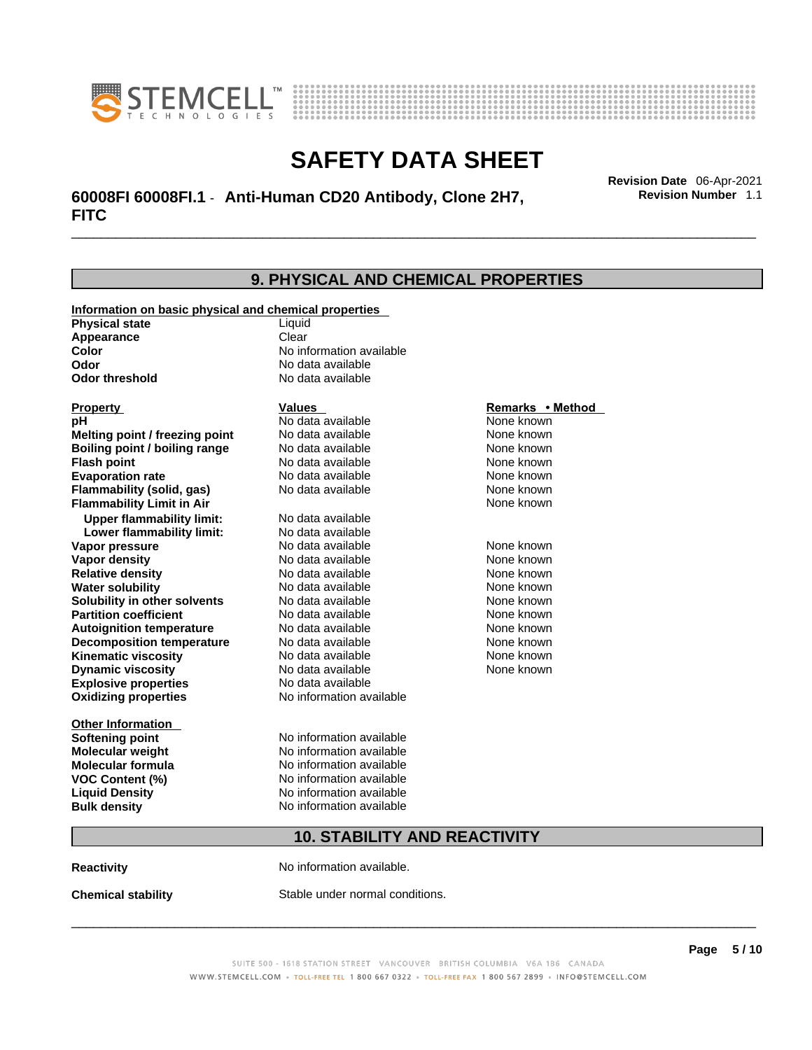



\_\_\_\_\_\_\_\_\_\_\_\_\_\_\_\_\_\_\_\_\_\_\_\_\_\_\_\_\_\_\_\_\_\_\_\_\_\_\_\_\_\_\_\_\_\_\_\_\_\_\_\_\_\_\_\_\_\_\_\_\_\_\_\_\_\_\_\_\_\_\_\_\_\_\_\_\_\_\_\_\_\_\_\_\_\_\_\_\_\_\_\_\_ **Revision Date** 06-Apr-2021 **60008FI 60008FI.1** - **Anti-Human CD20 Antibody, Clone 2H7, FITC** 

| <b>9. PHYSICAL AND CHEMICAL PROPERTIES</b>            |                          |                  |  |
|-------------------------------------------------------|--------------------------|------------------|--|
| Information on basic physical and chemical properties |                          |                  |  |
| <b>Physical state</b>                                 | Liquid                   |                  |  |
| Appearance                                            | Clear                    |                  |  |
| Color                                                 | No information available |                  |  |
| Odor                                                  | No data available        |                  |  |
| <b>Odor threshold</b>                                 | No data available        |                  |  |
| <b>Property</b>                                       | Values                   | Remarks • Method |  |
| рH                                                    | No data available        | None known       |  |
| Melting point / freezing point                        | No data available        | None known       |  |
| Boiling point / boiling range                         | No data available        | None known       |  |
| <b>Flash point</b>                                    | No data available        | None known       |  |
| <b>Evaporation rate</b>                               | No data available        | None known       |  |
| Flammability (solid, gas)                             | No data available        | None known       |  |
| <b>Flammability Limit in Air</b>                      |                          | None known       |  |
| <b>Upper flammability limit:</b>                      | No data available        |                  |  |
| Lower flammability limit:                             | No data available        |                  |  |
| Vapor pressure                                        | No data available        | None known       |  |
| <b>Vapor density</b>                                  | No data available        | None known       |  |
| <b>Relative density</b>                               | No data available        | None known       |  |
| <b>Water solubility</b>                               | No data available        | None known       |  |
| Solubility in other solvents                          | No data available        | None known       |  |
| <b>Partition coefficient</b>                          | No data available        | None known       |  |
| <b>Autoignition temperature</b>                       | No data available        | None known       |  |
| <b>Decomposition temperature</b>                      | No data available        | None known       |  |
| <b>Kinematic viscosity</b>                            | No data available        | None known       |  |
| <b>Dynamic viscosity</b>                              | No data available        | None known       |  |
| <b>Explosive properties</b>                           | No data available        |                  |  |
| <b>Oxidizing properties</b>                           | No information available |                  |  |
| <b>Other Information</b>                              |                          |                  |  |
| <b>Softening point</b>                                | No information available |                  |  |
| Molecular weight                                      | No information available |                  |  |
| <b>Molecular formula</b>                              | No information available |                  |  |
| <b>VOC Content (%)</b>                                | No information available |                  |  |
| <b>Liquid Density</b>                                 | No information available |                  |  |
| <b>Bulk density</b>                                   | No information available |                  |  |
| <b>10. STABILITY AND REACTIVITY</b>                   |                          |                  |  |

**Reactivity No information available.** 

**Chemical stability** Stable under normal conditions.

SUITE 500 - 1618 STATION STREET VANCOUVER BRITISH COLUMBIA V6A 1B6 CANADA

WWW.STEMCELL.COM · TOLL-FREE TEL 1 800 667 0322 · TOLL-FREE FAX 1 800 567 2899 · INFO@STEMCELL.COM

 $\_$  ,  $\_$  ,  $\_$  ,  $\_$  ,  $\_$  ,  $\_$  ,  $\_$  ,  $\_$  ,  $\_$  ,  $\_$  ,  $\_$  ,  $\_$  ,  $\_$  ,  $\_$  ,  $\_$  ,  $\_$  ,  $\_$  ,  $\_$  ,  $\_$  ,  $\_$  ,  $\_$  ,  $\_$  ,  $\_$  ,  $\_$  ,  $\_$  ,  $\_$  ,  $\_$  ,  $\_$  ,  $\_$  ,  $\_$  ,  $\_$  ,  $\_$  ,  $\_$  ,  $\_$  ,  $\_$  ,  $\_$  ,  $\_$  ,

**Revision Number** 1.1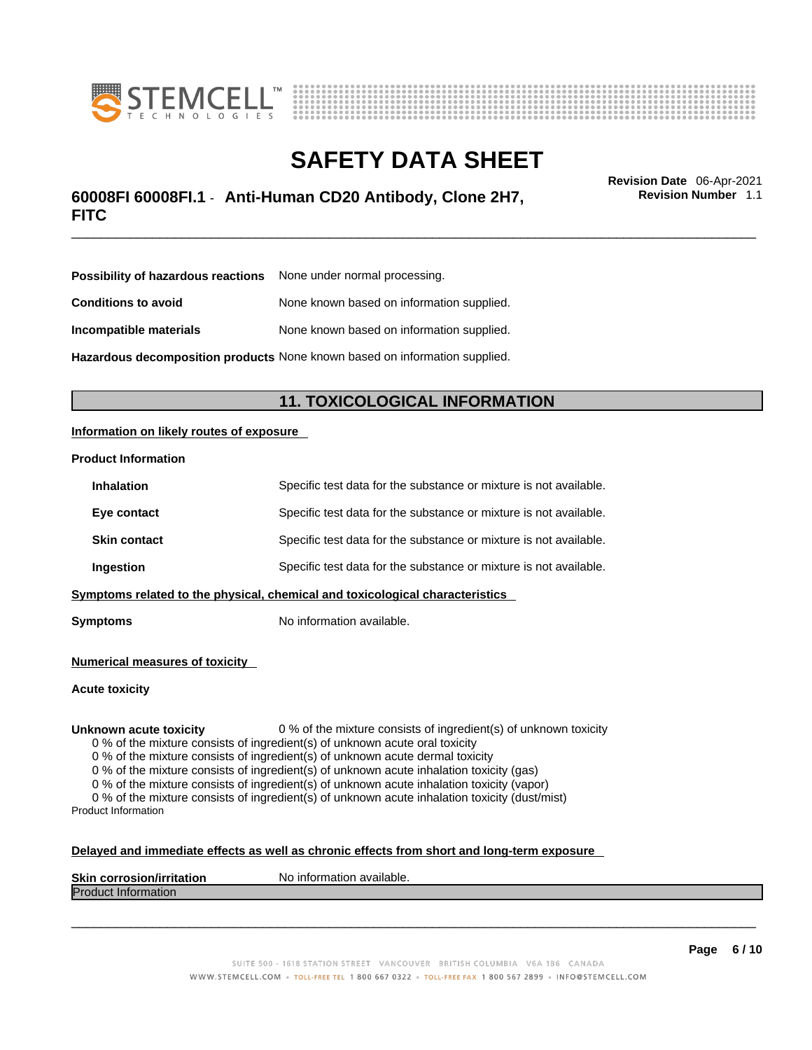



## \_\_\_\_\_\_\_\_\_\_\_\_\_\_\_\_\_\_\_\_\_\_\_\_\_\_\_\_\_\_\_\_\_\_\_\_\_\_\_\_\_\_\_\_\_\_\_\_\_\_\_\_\_\_\_\_\_\_\_\_\_\_\_\_\_\_\_\_\_\_\_\_\_\_\_\_\_\_\_\_\_\_\_\_\_\_\_\_\_\_\_\_\_ **Revision Date** 06-Apr-2021 **60008FI 60008FI.1** - **Anti-Human CD20 Antibody, Clone 2H7, FITC**

**Revision Number** 1.1

| <b>Possibility of hazardous reactions</b> None under normal processing.    |                                           |  |
|----------------------------------------------------------------------------|-------------------------------------------|--|
| <b>Conditions to avoid</b>                                                 | None known based on information supplied. |  |
| Incompatible materials                                                     | None known based on information supplied. |  |
| Hazardous decomposition products None known based on information supplied. |                                           |  |

### **11. TOXICOLOGICAL INFORMATION**

#### **Information on likely routes of exposure**

#### **Product Information**

| <b>Inhalation</b>                                                            | Specific test data for the substance or mixture is not available. |  |
|------------------------------------------------------------------------------|-------------------------------------------------------------------|--|
| Eye contact                                                                  | Specific test data for the substance or mixture is not available. |  |
| <b>Skin contact</b>                                                          | Specific test data for the substance or mixture is not available. |  |
| Ingestion                                                                    | Specific test data for the substance or mixture is not available. |  |
| Symptoms related to the physical, chemical and toxicological characteristics |                                                                   |  |

**Symptoms** No information available.

**Numerical measures of toxicity**

**Acute toxicity**

**Unknown acute toxicity** 0 % of the mixture consists of ingredient(s) of unknown toxicity

0 % of the mixture consists of ingredient(s) of unknown acute oral toxicity

0 % of the mixture consists of ingredient(s) of unknown acute dermal toxicity

0 % of the mixture consists of ingredient(s) of unknown acute inhalation toxicity (gas)

0 % of the mixture consists of ingredient(s) of unknown acute inhalation toxicity (vapor)

0 % of the mixture consists of ingredient(s) of unknown acute inhalation toxicity (dust/mist) Product Information

#### **Delayed and immediate effects as well as chronic effects from short and long-term exposure**

| <b>Skin corrosior</b><br>ion/irritation | `available.<br>No inforn<br>nation |
|-----------------------------------------|------------------------------------|
| Produc<br><b>Information</b>            |                                    |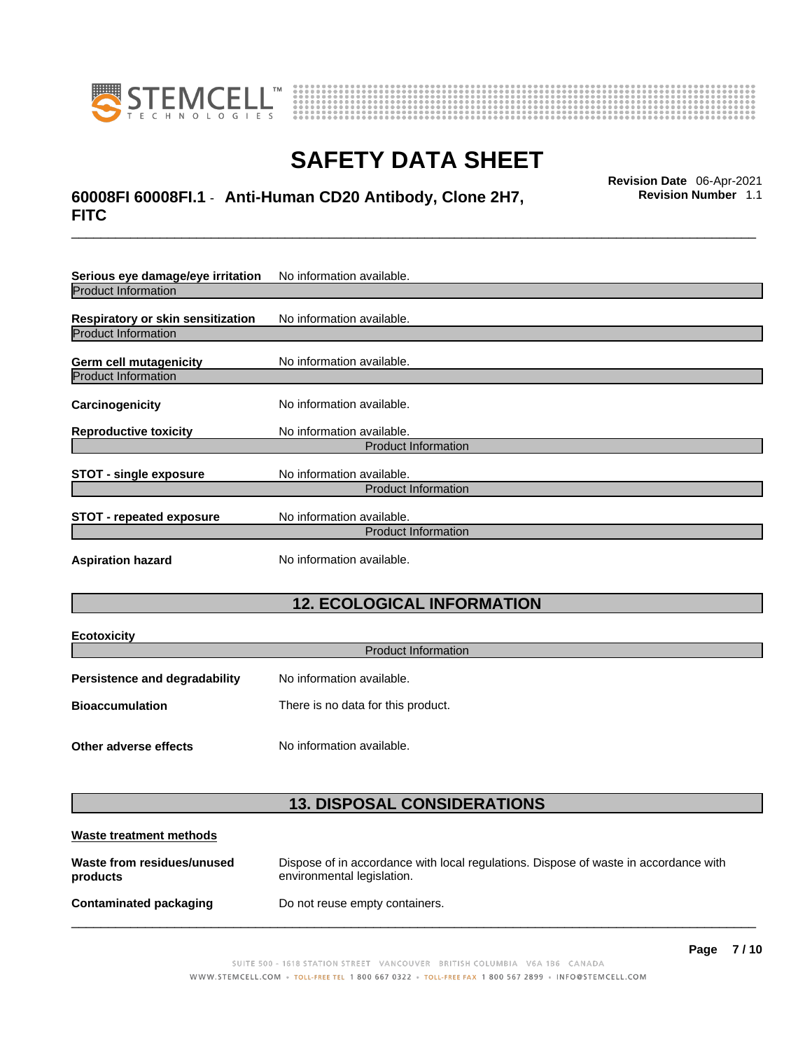

**Ecotoxicity** 



## **SAFETY DATA SHEET**

## \_\_\_\_\_\_\_\_\_\_\_\_\_\_\_\_\_\_\_\_\_\_\_\_\_\_\_\_\_\_\_\_\_\_\_\_\_\_\_\_\_\_\_\_\_\_\_\_\_\_\_\_\_\_\_\_\_\_\_\_\_\_\_\_\_\_\_\_\_\_\_\_\_\_\_\_\_\_\_\_\_\_\_\_\_\_\_\_\_\_\_\_\_ **Revision Date** 06-Apr-2021 **60008FI 60008FI.1** - **Anti-Human CD20 Antibody, Clone 2H7, FITC**

**Revision Number** 1.1

| Serious eye damage/eye irritation | No information available. |  |
|-----------------------------------|---------------------------|--|
| <b>Product Information</b>        |                           |  |
| Respiratory or skin sensitization | No information available. |  |
| <b>Product Information</b>        |                           |  |
| Germ cell mutagenicity            | No information available. |  |
| <b>Product Information</b>        |                           |  |
| Carcinogenicity                   | No information available. |  |
| <b>Reproductive toxicity</b>      | No information available. |  |
| <b>Product Information</b>        |                           |  |
| <b>STOT - single exposure</b>     | No information available. |  |
| <b>Product Information</b>        |                           |  |
| <b>STOT - repeated exposure</b>   | No information available. |  |
| <b>Product Information</b>        |                           |  |
| <b>Aspiration hazard</b>          | No information available. |  |

### **12. ECOLOGICAL INFORMATION**

| <b>ECOTOXICITY</b>                   |                                    |  |
|--------------------------------------|------------------------------------|--|
| <b>Product Information</b>           |                                    |  |
| <b>Persistence and degradability</b> | No information available.          |  |
| <b>Bioaccumulation</b>               | There is no data for this product. |  |
| Other adverse effects                | No information available.          |  |

### **13. DISPOSAL CONSIDERATIONS**

| Waste treatment methods                |                                                                                                                    |
|----------------------------------------|--------------------------------------------------------------------------------------------------------------------|
| Waste from residues/unused<br>products | Dispose of in accordance with local regulations. Dispose of waste in accordance with<br>environmental legislation. |
| <b>Contaminated packaging</b>          | Do not reuse empty containers.                                                                                     |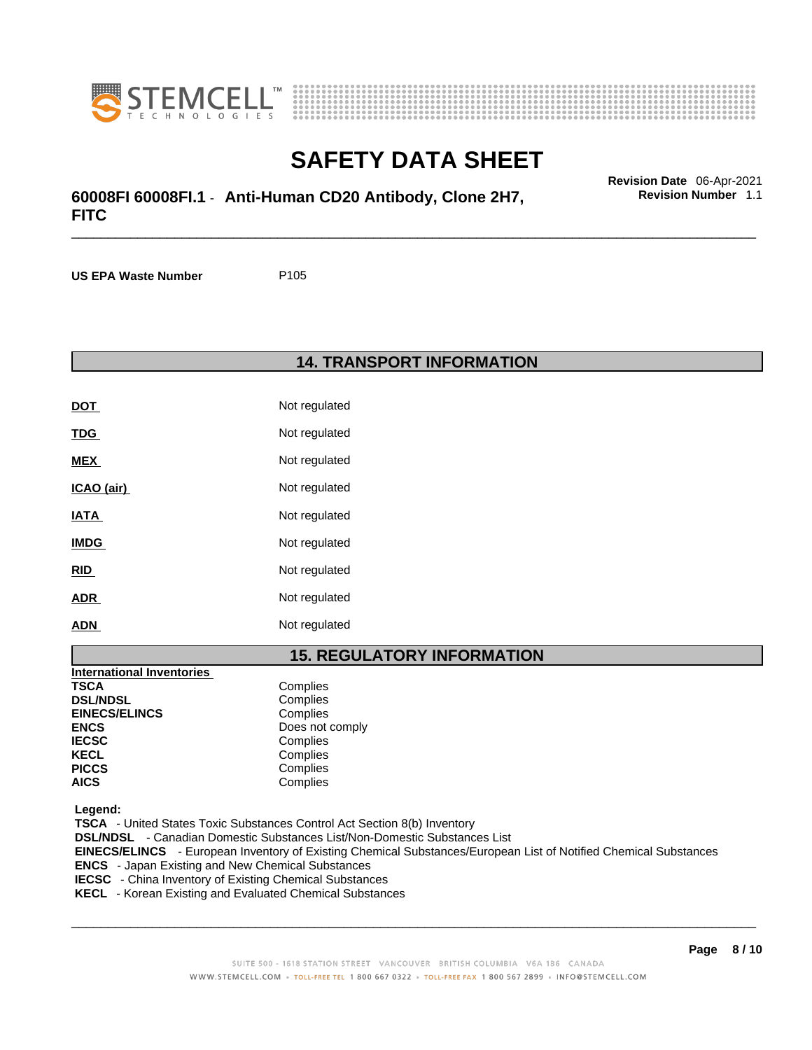



## \_\_\_\_\_\_\_\_\_\_\_\_\_\_\_\_\_\_\_\_\_\_\_\_\_\_\_\_\_\_\_\_\_\_\_\_\_\_\_\_\_\_\_\_\_\_\_\_\_\_\_\_\_\_\_\_\_\_\_\_\_\_\_\_\_\_\_\_\_\_\_\_\_\_\_\_\_\_\_\_\_\_\_\_\_\_\_\_\_\_\_\_\_ **Revision Date** 06-Apr-2021 **60008FI 60008FI.1** - **Anti-Human CD20 Antibody, Clone 2H7, FITC**

**US EPA Waste Number** P105

#### **14. TRANSPORT INFORMATION**

| <b>DOT</b>  | Not regulated |
|-------------|---------------|
| <b>TDG</b>  | Not regulated |
| MEX         | Not regulated |
| ICAO (air)  | Not regulated |
| <b>IATA</b> | Not regulated |
| <b>IMDG</b> | Not regulated |
| RID         | Not regulated |
| ADR         | Not regulated |
| ADN         | Not regulated |

### **15. REGULATORY INFORMATION**

| <b>International Inventories</b> |                 |
|----------------------------------|-----------------|
| <b>TSCA</b>                      | Complies        |
| <b>DSL/NDSL</b>                  | Complies        |
| <b>EINECS/ELINCS</b>             | Complies        |
| <b>ENCS</b>                      | Does not comply |
| <b>IECSC</b>                     | Complies        |
| <b>KECL</b>                      | Complies        |
| <b>PICCS</b>                     | Complies        |
| <b>AICS</b>                      | Complies        |

 **Legend:** 

 **TSCA** - United States Toxic Substances Control Act Section 8(b) Inventory  **DSL/NDSL** - Canadian Domestic Substances List/Non-Domestic Substances List  **EINECS/ELINCS** - European Inventory of Existing Chemical Substances/European List of Notified Chemical Substances  **ENCS** - Japan Existing and New Chemical Substances  **IECSC** - China Inventory of Existing Chemical Substances

 $\_$  ,  $\_$  ,  $\_$  ,  $\_$  ,  $\_$  ,  $\_$  ,  $\_$  ,  $\_$  ,  $\_$  ,  $\_$  ,  $\_$  ,  $\_$  ,  $\_$  ,  $\_$  ,  $\_$  ,  $\_$  ,  $\_$  ,  $\_$  ,  $\_$  ,  $\_$  ,  $\_$  ,  $\_$  ,  $\_$  ,  $\_$  ,  $\_$  ,  $\_$  ,  $\_$  ,  $\_$  ,  $\_$  ,  $\_$  ,  $\_$  ,  $\_$  ,  $\_$  ,  $\_$  ,  $\_$  ,  $\_$  ,  $\_$  ,

**Revision Number** 1.1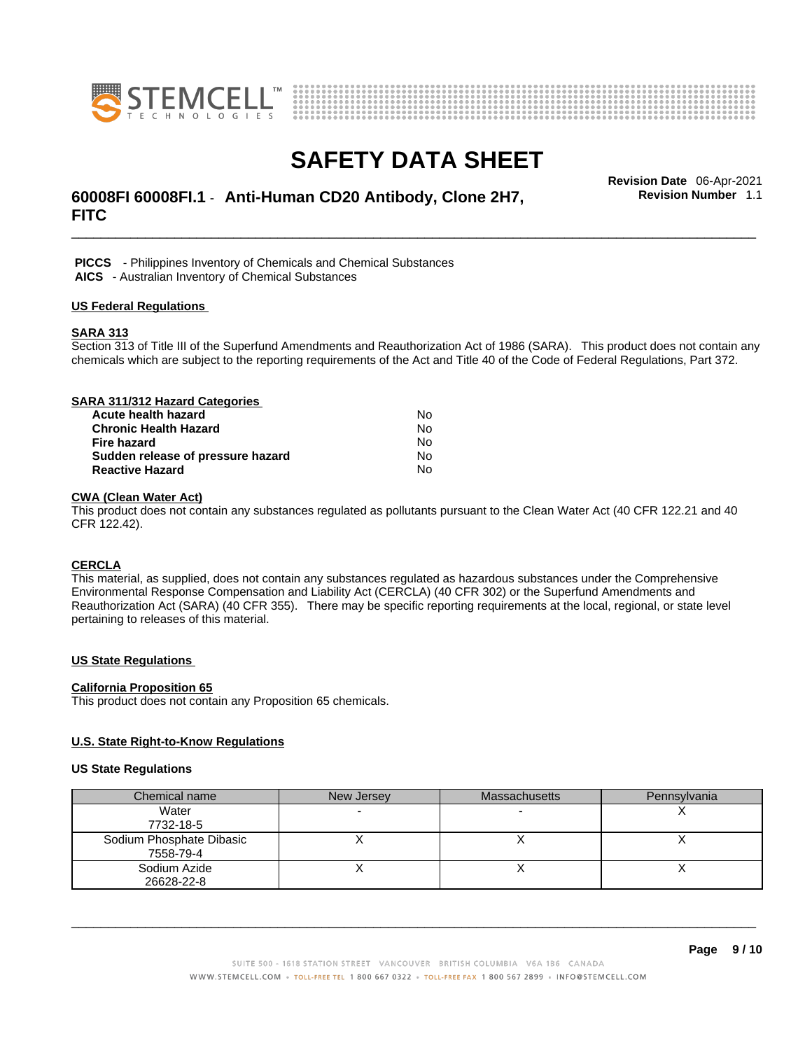



## \_\_\_\_\_\_\_\_\_\_\_\_\_\_\_\_\_\_\_\_\_\_\_\_\_\_\_\_\_\_\_\_\_\_\_\_\_\_\_\_\_\_\_\_\_\_\_\_\_\_\_\_\_\_\_\_\_\_\_\_\_\_\_\_\_\_\_\_\_\_\_\_\_\_\_\_\_\_\_\_\_\_\_\_\_\_\_\_\_\_\_\_\_ **Revision Date** 06-Apr-2021 **60008FI 60008FI.1** - **Anti-Human CD20 Antibody, Clone 2H7, FITC**

**Revision Number** 1.1

 **PICCS** - Philippines Inventory of Chemicals and Chemical Substances  **AICS** - Australian Inventory of Chemical Substances

#### **US Federal Regulations**

#### **SARA 313**

Section 313 of Title III of the Superfund Amendments and Reauthorization Act of 1986 (SARA). This product does not contain any chemicals which are subject to the reporting requirements of the Act and Title 40 of the Code of Federal Regulations, Part 372.

| SARA 311/312 Hazard Categories    |    |  |
|-----------------------------------|----|--|
| Acute health hazard               | N٥ |  |
| <b>Chronic Health Hazard</b>      | No |  |
| <b>Fire hazard</b>                | No |  |
| Sudden release of pressure hazard | No |  |
| <b>Reactive Hazard</b>            | No |  |

#### **CWA (Clean WaterAct)**

This product does not contain any substances regulated as pollutants pursuant to the Clean Water Act (40 CFR 122.21 and 40 CFR 122.42).

#### **CERCLA**

This material, as supplied, does not contain any substances regulated as hazardous substances under the Comprehensive Environmental Response Compensation and Liability Act (CERCLA) (40 CFR 302) or the Superfund Amendments and Reauthorization Act (SARA) (40 CFR 355). There may be specific reporting requirements at the local, regional, or state level pertaining to releases of this material.

#### **US State Regulations**

#### **California Proposition 65**

This product does not contain any Proposition 65 chemicals.

#### **U.S. State Right-to-Know Regulations**

#### **US State Regulations**

| Chemical name            | New Jersey | <b>Massachusetts</b> | Pennsylvania |
|--------------------------|------------|----------------------|--------------|
| Water                    |            |                      |              |
| 7732-18-5                |            |                      |              |
| Sodium Phosphate Dibasic |            |                      |              |
| 7558-79-4                |            |                      |              |
| Sodium Azide             |            |                      |              |
| 26628-22-8               |            |                      |              |